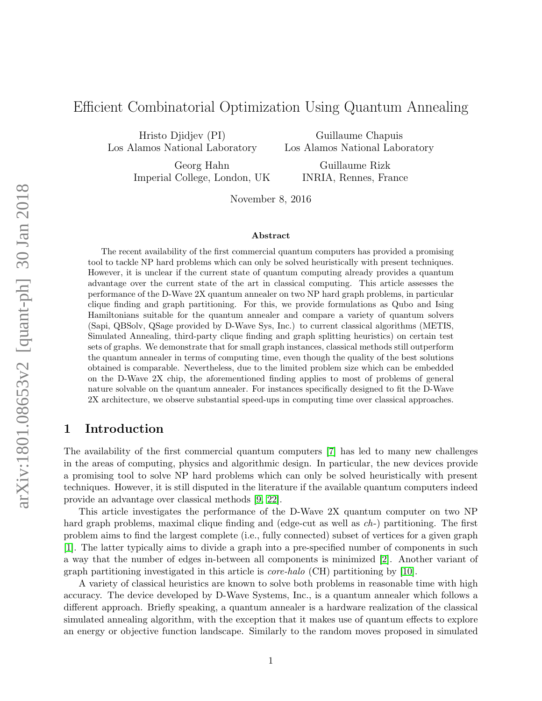# Efficient Combinatorial Optimization Using Quantum Annealing

Hristo Djidjev (PI) Los Alamos National Laboratory

Guillaume Chapuis Los Alamos National Laboratory

Georg Hahn Imperial College, London, UK

Guillaume Rizk INRIA, Rennes, France

November 8, 2016

#### Abstract

The recent availability of the first commercial quantum computers has provided a promising tool to tackle NP hard problems which can only be solved heuristically with present techniques. However, it is unclear if the current state of quantum computing already provides a quantum advantage over the current state of the art in classical computing. This article assesses the performance of the D-Wave 2X quantum annealer on two NP hard graph problems, in particular clique finding and graph partitioning. For this, we provide formulations as Qubo and Ising Hamiltonians suitable for the quantum annealer and compare a variety of quantum solvers (Sapi, QBSolv, QSage provided by D-Wave Sys, Inc.) to current classical algorithms (METIS, Simulated Annealing, third-party clique finding and graph splitting heuristics) on certain test sets of graphs. We demonstrate that for small graph instances, classical methods still outperform the quantum annealer in terms of computing time, even though the quality of the best solutions obtained is comparable. Nevertheless, due to the limited problem size which can be embedded on the D-Wave 2X chip, the aforementioned finding applies to most of problems of general nature solvable on the quantum annealer. For instances specifically designed to fit the D-Wave 2X architecture, we observe substantial speed-ups in computing time over classical approaches.

# 1 Introduction

The availability of the first commercial quantum computers [\[7\]](#page-24-0) has led to many new challenges in the areas of computing, physics and algorithmic design. In particular, the new devices provide a promising tool to solve NP hard problems which can only be solved heuristically with present techniques. However, it is still disputed in the literature if the available quantum computers indeed provide an advantage over classical methods [\[9,](#page-24-1) [22\]](#page-24-2).

This article investigates the performance of the D-Wave 2X quantum computer on two NP hard graph problems, maximal clique finding and (edge-cut as well as *ch*-) partitioning. The first problem aims to find the largest complete (i.e., fully connected) subset of vertices for a given graph [\[1\]](#page-23-0). The latter typically aims to divide a graph into a pre-specified number of components in such a way that the number of edges in-between all components is minimized [\[2\]](#page-23-1). Another variant of graph partitioning investigated in this article is core-halo (CH) partitioning by [\[10\]](#page-24-3).

A variety of classical heuristics are known to solve both problems in reasonable time with high accuracy. The device developed by D-Wave Systems, Inc., is a quantum annealer which follows a different approach. Briefly speaking, a quantum annealer is a hardware realization of the classical simulated annealing algorithm, with the exception that it makes use of quantum effects to explore an energy or objective function landscape. Similarly to the random moves proposed in simulated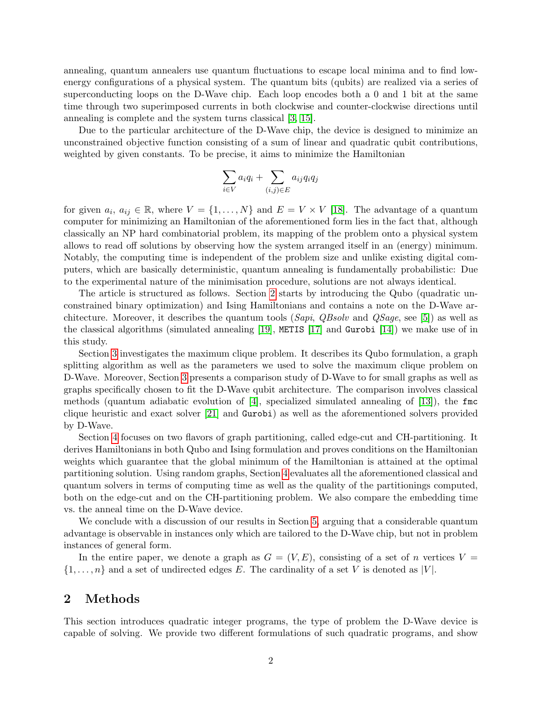annealing, quantum annealers use quantum fluctuations to escape local minima and to find lowenergy configurations of a physical system. The quantum bits (qubits) are realized via a series of superconducting loops on the D-Wave chip. Each loop encodes both a 0 and 1 bit at the same time through two superimposed currents in both clockwise and counter-clockwise directions until annealing is complete and the system turns classical [\[3,](#page-23-2) [15\]](#page-24-4).

Due to the particular architecture of the D-Wave chip, the device is designed to minimize an unconstrained objective function consisting of a sum of linear and quadratic qubit contributions, weighted by given constants. To be precise, it aims to minimize the Hamiltonian

$$
\sum_{i \in V} a_i q_i + \sum_{(i,j) \in E} a_{ij} q_i q_j
$$

for given  $a_i, a_{ij} \in \mathbb{R}$ , where  $V = \{1, ..., N\}$  and  $E = V \times V$  [\[18\]](#page-24-5). The advantage of a quantum computer for minimizing an Hamiltonian of the aforementioned form lies in the fact that, although classically an NP hard combinatorial problem, its mapping of the problem onto a physical system allows to read off solutions by observing how the system arranged itself in an (energy) minimum. Notably, the computing time is independent of the problem size and unlike existing digital computers, which are basically deterministic, quantum annealing is fundamentally probabilistic: Due to the experimental nature of the minimisation procedure, solutions are not always identical.

The article is structured as follows. Section [2](#page-1-0) starts by introducing the Qubo (quadratic unconstrained binary optimization) and Ising Hamiltonians and contains a note on the D-Wave ar-chitecture. Moreover, it describes the quantum tools (Sapi, QBsolv and QSaqe, see [\[5\]](#page-24-6)) as well as the classical algorithms (simulated annealing [\[19\]](#page-24-7), METIS [\[17\]](#page-24-8) and Gurobi [\[14\]](#page-24-9)) we make use of in this study.

Section [3](#page-6-0) investigates the maximum clique problem. It describes its Qubo formulation, a graph splitting algorithm as well as the parameters we used to solve the maximum clique problem on D-Wave. Moreover, Section [3](#page-6-0) presents a comparison study of D-Wave to for small graphs as well as graphs specifically chosen to fit the D-Wave qubit architecture. The comparison involves classical methods (quantum adiabatic evolution of  $[4]$ , specialized simulated annealing of  $[13]$ ), the finc clique heuristic and exact solver [\[21\]](#page-24-11) and Gurobi) as well as the aforementioned solvers provided by D-Wave.

Section [4](#page-13-0) focuses on two flavors of graph partitioning, called edge-cut and CH-partitioning. It derives Hamiltonians in both Qubo and Ising formulation and proves conditions on the Hamiltonian weights which guarantee that the global minimum of the Hamiltonian is attained at the optimal partitioning solution. Using random graphs, Section [4](#page-13-0) evaluates all the aforementioned classical and quantum solvers in terms of computing time as well as the quality of the partitionings computed, both on the edge-cut and on the CH-partitioning problem. We also compare the embedding time vs. the anneal time on the D-Wave device.

We conclude with a discussion of our results in Section [5,](#page-23-4) arguing that a considerable quantum advantage is observable in instances only which are tailored to the D-Wave chip, but not in problem instances of general form.

In the entire paper, we denote a graph as  $G = (V, E)$ , consisting of a set of n vertices  $V =$  $\{1,\ldots,n\}$  and a set of undirected edges E. The cardinality of a set V is denoted as |V|.

## <span id="page-1-0"></span>2 Methods

This section introduces quadratic integer programs, the type of problem the D-Wave device is capable of solving. We provide two different formulations of such quadratic programs, and show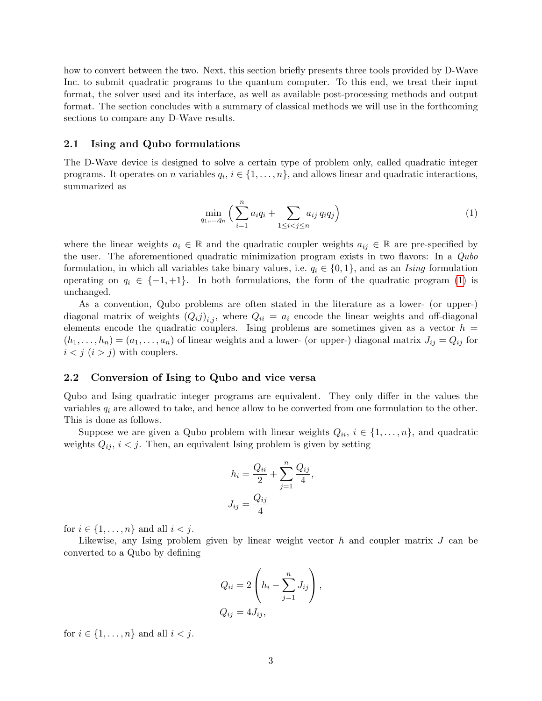how to convert between the two. Next, this section briefly presents three tools provided by D-Wave Inc. to submit quadratic programs to the quantum computer. To this end, we treat their input format, the solver used and its interface, as well as available post-processing methods and output format. The section concludes with a summary of classical methods we will use in the forthcoming sections to compare any D-Wave results.

### 2.1 Ising and Qubo formulations

The D-Wave device is designed to solve a certain type of problem only, called quadratic integer programs. It operates on *n* variables  $q_i$ ,  $i \in \{1, \ldots, n\}$ , and allows linear and quadratic interactions, summarized as

<span id="page-2-0"></span>
$$
\min_{q_1, ..., q_n} \Big( \sum_{i=1}^n a_i q_i + \sum_{1 \le i < j \le n} a_{ij} q_i q_j \Big) \tag{1}
$$

where the linear weights  $a_i \in \mathbb{R}$  and the quadratic coupler weights  $a_{ij} \in \mathbb{R}$  are pre-specified by the user. The aforementioned quadratic minimization program exists in two flavors: In a *Qubo* formulation, in which all variables take binary values, i.e.  $q_i \in \{0, 1\}$ , and as an Ising formulation operating on  $q_i \in \{-1, +1\}$ . In both formulations, the form of the quadratic program [\(1\)](#page-2-0) is unchanged.

As a convention, Qubo problems are often stated in the literature as a lower- (or upper-) diagonal matrix of weights  $(Q_i j)_{i,j}$ , where  $Q_{ii} = a_i$  encode the linear weights and off-diagonal elements encode the quadratic couplers. Ising problems are sometimes given as a vector  $h =$  $(h_1, \ldots, h_n) = (a_1, \ldots, a_n)$  of linear weights and a lower- (or upper-) diagonal matrix  $J_{ij} = Q_{ij}$  for  $i < j$   $(i > j)$  with couplers.

### 2.2 Conversion of Ising to Qubo and vice versa

Qubo and Ising quadratic integer programs are equivalent. They only differ in the values the variables  $q_i$  are allowed to take, and hence allow to be converted from one formulation to the other. This is done as follows.

Suppose we are given a Qubo problem with linear weights  $Q_{ii}$ ,  $i \in \{1, \ldots, n\}$ , and quadratic weights  $Q_{ij}$ ,  $i < j$ . Then, an equivalent Ising problem is given by setting

$$
h_i = \frac{Q_{ii}}{2} + \sum_{j=1}^{n} \frac{Q_{ij}}{4},
$$

$$
J_{ij} = \frac{Q_{ij}}{4}
$$

for  $i \in \{1, \ldots, n\}$  and all  $i < j$ .

Likewise, any Ising problem given by linear weight vector  $h$  and coupler matrix  $J$  can be converted to a Qubo by defining

$$
Q_{ii} = 2\left(h_i - \sum_{j=1}^n J_{ij}\right),
$$
  

$$
Q_{ij} = 4J_{ij},
$$

for  $i \in \{1, \ldots, n\}$  and all  $i < j$ .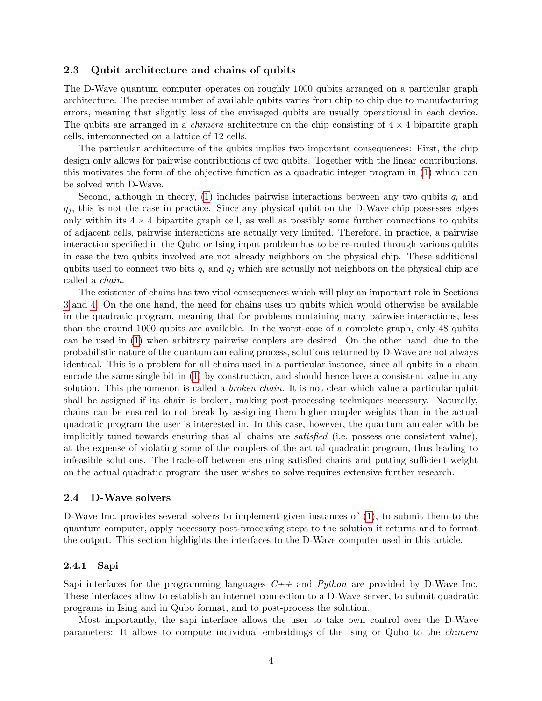### 2.3 Qubit architecture and chains of qubits

The D-Wave quantum computer operates on roughly 1000 qubits arranged on a particular graph architecture. The precise number of available qubits varies from chip to chip due to manufacturing errors, meaning that slightly less of the envisaged qubits are usually operational in each device. The qubits are arranged in a *chimera* architecture on the chip consisting of  $4 \times 4$  bipartite graph cells, interconnected on a lattice of 12 cells.

The particular architecture of the qubits implies two important consequences: First, the chip design only allows for pairwise contributions of two qubits. Together with the linear contributions, this motivates the form of the objective function as a quadratic integer program in [\(1\)](#page-2-0) which can be solved with D-Wave.

Second, although in theory, [\(1\)](#page-2-0) includes pairwise interactions between any two qubits  $q_i$  and  $q_i$ , this is not the case in practice. Since any physical qubit on the D-Wave chip possesses edges only within its  $4 \times 4$  bipartite graph cell, as well as possibly some further connections to qubits of adjacent cells, pairwise interactions are actually very limited. Therefore, in practice, a pairwise interaction specified in the Qubo or Ising input problem has to be re-routed through various qubits in case the two qubits involved are not already neighbors on the physical chip. These additional qubits used to connect two bits  $q_i$  and  $q_j$  which are actually not neighbors on the physical chip are called a chain.

The existence of chains has two vital consequences which will play an important role in Sections [3](#page-6-0) and [4.](#page-13-0) On the one hand, the need for chains uses up qubits which would otherwise be available in the quadratic program, meaning that for problems containing many pairwise interactions, less than the around 1000 qubits are available. In the worst-case of a complete graph, only 48 qubits can be used in [\(1\)](#page-2-0) when arbitrary pairwise couplers are desired. On the other hand, due to the probabilistic nature of the quantum annealing process, solutions returned by D-Wave are not always identical. This is a problem for all chains used in a particular instance, since all qubits in a chain encode the same single bit in [\(1\)](#page-2-0) by construction, and should hence have a consistent value in any solution. This phenomenon is called a *broken chain*. It is not clear which value a particular qubit shall be assigned if its chain is broken, making post-processing techniques necessary. Naturally, chains can be ensured to not break by assigning them higher coupler weights than in the actual quadratic program the user is interested in. In this case, however, the quantum annealer with be implicitly tuned towards ensuring that all chains are satisfied (i.e. possess one consistent value), at the expense of violating some of the couplers of the actual quadratic program, thus leading to infeasible solutions. The trade-off between ensuring satisfied chains and putting sufficient weight on the actual quadratic program the user wishes to solve requires extensive further research.

### <span id="page-3-0"></span>2.4 D-Wave solvers

D-Wave Inc. provides several solvers to implement given instances of [\(1\)](#page-2-0), to submit them to the quantum computer, apply necessary post-processing steps to the solution it returns and to format the output. This section highlights the interfaces to the D-Wave computer used in this article.

### 2.4.1 Sapi

Sapi interfaces for the programming languages  $C++$  and Python are provided by D-Wave Inc. These interfaces allow to establish an internet connection to a D-Wave server, to submit quadratic programs in Ising and in Qubo format, and to post-process the solution.

Most importantly, the sapi interface allows the user to take own control over the D-Wave parameters: It allows to compute individual embeddings of the Ising or Qubo to the chimera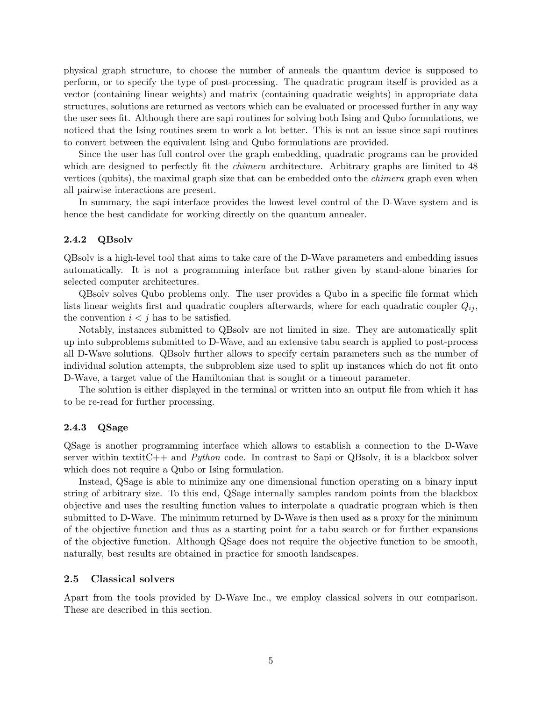physical graph structure, to choose the number of anneals the quantum device is supposed to perform, or to specify the type of post-processing. The quadratic program itself is provided as a vector (containing linear weights) and matrix (containing quadratic weights) in appropriate data structures, solutions are returned as vectors which can be evaluated or processed further in any way the user sees fit. Although there are sapi routines for solving both Ising and Qubo formulations, we noticed that the Ising routines seem to work a lot better. This is not an issue since sapi routines to convert between the equivalent Ising and Qubo formulations are provided.

Since the user has full control over the graph embedding, quadratic programs can be provided which are designed to perfectly fit the *chimera* architecture. Arbitrary graphs are limited to 48 vertices (qubits), the maximal graph size that can be embedded onto the chimera graph even when all pairwise interactions are present.

In summary, the sapi interface provides the lowest level control of the D-Wave system and is hence the best candidate for working directly on the quantum annealer.

### 2.4.2 QBsolv

QBsolv is a high-level tool that aims to take care of the D-Wave parameters and embedding issues automatically. It is not a programming interface but rather given by stand-alone binaries for selected computer architectures.

QBsolv solves Qubo problems only. The user provides a Qubo in a specific file format which lists linear weights first and quadratic couplers afterwards, where for each quadratic coupler  $Q_{ij}$ , the convention  $i < j$  has to be satisfied.

Notably, instances submitted to QBsolv are not limited in size. They are automatically split up into subproblems submitted to D-Wave, and an extensive tabu search is applied to post-process all D-Wave solutions. QBsolv further allows to specify certain parameters such as the number of individual solution attempts, the subproblem size used to split up instances which do not fit onto D-Wave, a target value of the Hamiltonian that is sought or a timeout parameter.

The solution is either displayed in the terminal or written into an output file from which it has to be re-read for further processing.

### 2.4.3 QSage

QSage is another programming interface which allows to establish a connection to the D-Wave server within textitC++ and *Python* code. In contrast to Sapi or QBsolv, it is a blackbox solver which does not require a Qubo or Ising formulation.

Instead, QSage is able to minimize any one dimensional function operating on a binary input string of arbitrary size. To this end, QSage internally samples random points from the blackbox objective and uses the resulting function values to interpolate a quadratic program which is then submitted to D-Wave. The minimum returned by D-Wave is then used as a proxy for the minimum of the objective function and thus as a starting point for a tabu search or for further expansions of the objective function. Although QSage does not require the objective function to be smooth, naturally, best results are obtained in practice for smooth landscapes.

### <span id="page-4-0"></span>2.5 Classical solvers

Apart from the tools provided by D-Wave Inc., we employ classical solvers in our comparison. These are described in this section.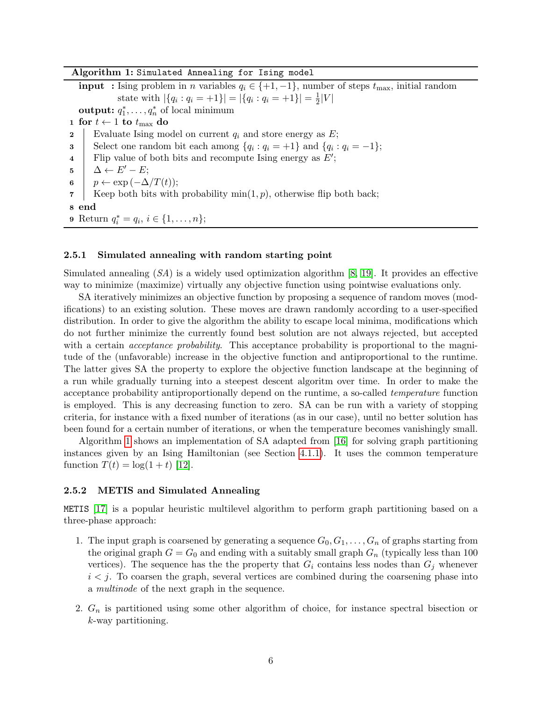Algorithm 1: Simulated Annealing for Ising model

<span id="page-5-0"></span>**input** : Ising problem in n variables  $q_i \in \{+1, -1\}$ , number of steps  $t_{\text{max}}$ , initial random state with  $|\{q_i : q_i = +1\}| = |\{q_i : q_i = +1\}| = \frac{1}{2}$  $\frac{1}{2}|V|$ output:  $q_1^*, \ldots, q_n^*$  of local minimum 1 for  $t \leftarrow 1$  to  $t_{\text{max}}$  do 2 Evaluate Ising model on current  $q_i$  and store energy as  $E$ ; 3 Select one random bit each among  $\{q_i : q_i = +1\}$  and  $\{q_i : q_i = -1\};$ 4 | Flip value of both bits and recompute Ising energy as  $E'$ ;  $\mathbf{5}$  |  $\Delta \leftarrow E'-E;$ 6  $p \leftarrow \exp(-\Delta/T(t));$ 7 | Keep both bits with probability  $\min(1, p)$ , otherwise flip both back; 8 end 9 Return  $q_i^* = q_i, i \in \{1, ..., n\};$ 

### <span id="page-5-2"></span>2.5.1 Simulated annealing with random starting point

Simulated annealing  $(S_A)$  is a widely used optimization algorithm [\[8,](#page-24-12) [19\]](#page-24-7). It provides an effective way to minimize (maximize) virtually any objective function using pointwise evaluations only.

SA iteratively minimizes an objective function by proposing a sequence of random moves (modifications) to an existing solution. These moves are drawn randomly according to a user-specified distribution. In order to give the algorithm the ability to escape local minima, modifications which do not further minimize the currently found best solution are not always rejected, but accepted with a certain *acceptance probability*. This acceptance probability is proportional to the magnitude of the (unfavorable) increase in the objective function and antiproportional to the runtime. The latter gives SA the property to explore the objective function landscape at the beginning of a run while gradually turning into a steepest descent algoritm over time. In order to make the acceptance probability antiproportionally depend on the runtime, a so-called temperature function is employed. This is any decreasing function to zero. SA can be run with a variety of stopping criteria, for instance with a fixed number of iterations (as in our case), until no better solution has been found for a certain number of iterations, or when the temperature becomes vanishingly small.

Algorithm [1](#page-5-0) shows an implementation of SA adapted from [\[16\]](#page-24-13) for solving graph partitioning instances given by an Ising Hamiltonian (see Section [4.1.1\)](#page-13-1). It uses the common temperature function  $T(t) = \log(1 + t)$  [\[12\]](#page-24-14).

### <span id="page-5-1"></span>2.5.2 METIS and Simulated Annealing

METIS [\[17\]](#page-24-8) is a popular heuristic multilevel algorithm to perform graph partitioning based on a three-phase approach:

- 1. The input graph is coarsened by generating a sequence  $G_0, G_1, \ldots, G_n$  of graphs starting from the original graph  $G = G_0$  and ending with a suitably small graph  $G_n$  (typically less than 100 vertices). The sequence has the the property that  $G_i$  contains less nodes than  $G_i$  whenever  $i < j$ . To coarsen the graph, several vertices are combined during the coarsening phase into a multinode of the next graph in the sequence.
- 2.  $G_n$  is partitioned using some other algorithm of choice, for instance spectral bisection or k-way partitioning.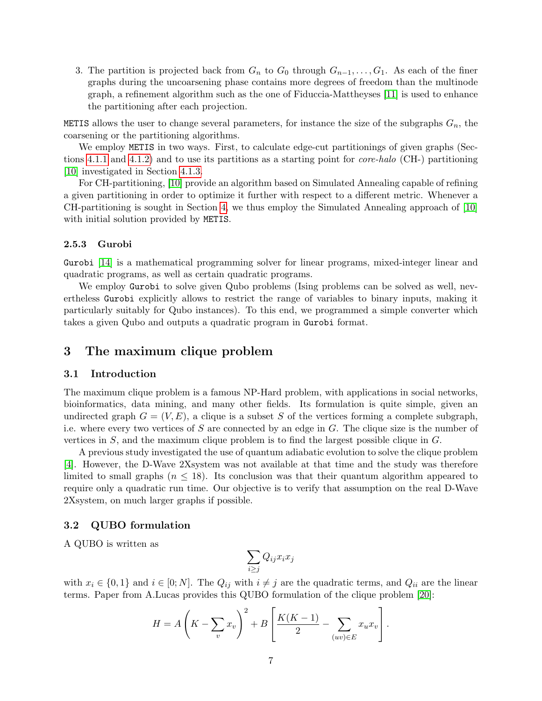3. The partition is projected back from  $G_n$  to  $G_0$  through  $G_{n-1}, \ldots, G_1$ . As each of the finer graphs during the uncoarsening phase contains more degrees of freedom than the multinode graph, a refinement algorithm such as the one of Fiduccia-Mattheyses [\[11\]](#page-24-15) is used to enhance the partitioning after each projection.

METIS allows the user to change several parameters, for instance the size of the subgraphs  $G_n$ , the coarsening or the partitioning algorithms.

We employ METIS in two ways. First, to calculate edge-cut partitionings of given graphs (Sections [4.1.1](#page-13-1) and [4.1.2\)](#page-14-0) and to use its partitions as a starting point for core-halo (CH-) partitioning [\[10\]](#page-24-3) investigated in Section [4.1.3.](#page-14-1)

For CH-partitioning, [\[10\]](#page-24-3) provide an algorithm based on Simulated Annealing capable of refining a given partitioning in order to optimize it further with respect to a different metric. Whenever a CH-partitioning is sought in Section [4,](#page-13-0) we thus employ the Simulated Annealing approach of [\[10\]](#page-24-3) with initial solution provided by METIS.

### 2.5.3 Gurobi

Gurobi [\[14\]](#page-24-9) is a mathematical programming solver for linear programs, mixed-integer linear and quadratic programs, as well as certain quadratic programs.

We employ Gurobi to solve given Qubo problems (Ising problems can be solved as well, nevertheless Gurobi explicitly allows to restrict the range of variables to binary inputs, making it particularly suitably for Qubo instances). To this end, we programmed a simple converter which takes a given Qubo and outputs a quadratic program in Gurobi format.

## <span id="page-6-0"></span>3 The maximum clique problem

### 3.1 Introduction

The maximum clique problem is a famous NP-Hard problem, with applications in social networks, bioinformatics, data mining, and many other fields. Its formulation is quite simple, given an undirected graph  $G = (V, E)$ , a clique is a subset S of the vertices forming a complete subgraph, i.e. where every two vertices of  $S$  are connected by an edge in  $G$ . The clique size is the number of vertices in S, and the maximum clique problem is to find the largest possible clique in G.

A previous study investigated the use of quantum adiabatic evolution to solve the clique problem [\[4\]](#page-23-3). However, the D-Wave 2Xsystem was not available at that time and the study was therefore limited to small graphs ( $n \leq 18$ ). Its conclusion was that their quantum algorithm appeared to require only a quadratic run time. Our objective is to verify that assumption on the real D-Wave 2Xsystem, on much larger graphs if possible.

### 3.2 QUBO formulation

A QUBO is written as

$$
\sum_{i\geq j} Q_{ij} x_i x_j
$$

with  $x_i \in \{0,1\}$  and  $i \in [0;N]$ . The  $Q_{ij}$  with  $i \neq j$  are the quadratic terms, and  $Q_{ii}$  are the linear terms. Paper from A.Lucas provides this QUBO formulation of the clique problem [\[20\]](#page-24-16):

$$
H = A\left(K - \sum_{v} x_{v}\right)^{2} + B\left[\frac{K(K-1)}{2} - \sum_{(uv)\in E} x_{u} x_{v}\right].
$$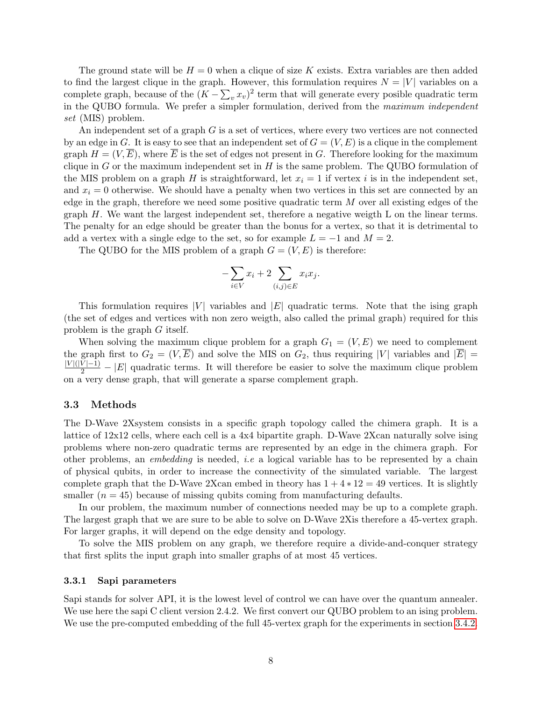The ground state will be  $H = 0$  when a clique of size K exists. Extra variables are then added to find the largest clique in the graph. However, this formulation requires  $N = |V|$  variables on a complete graph, because of the  $(K - \sum_{v} x_v)^2$  term that will generate every posible quadratic term in the QUBO formula. We prefer a simpler formulation, derived from the maximum independent set (MIS) problem.

An independent set of a graph  $G$  is a set of vertices, where every two vertices are not connected by an edge in G. It is easy to see that an independent set of  $G = (V, E)$  is a clique in the complement graph  $H = (V, \overline{E})$ , where  $\overline{E}$  is the set of edges not present in G. Therefore looking for the maximum clique in G or the maximum independent set in  $H$  is the same problem. The QUBO formulation of the MIS problem on a graph H is straightforward, let  $x_i = 1$  if vertex i is in the independent set, and  $x_i = 0$  otherwise. We should have a penalty when two vertices in this set are connected by an edge in the graph, therefore we need some positive quadratic term M over all existing edges of the graph  $H$ . We want the largest independent set, therefore a negative weigth  $L$  on the linear terms. The penalty for an edge should be greater than the bonus for a vertex, so that it is detrimental to add a vertex with a single edge to the set, so for example  $L = -1$  and  $M = 2$ .

The QUBO for the MIS problem of a graph  $G = (V, E)$  is therefore:

$$
-\sum_{i\in V} x_i + 2 \sum_{(i,j)\in E} x_i x_j.
$$

This formulation requires |V| variables and  $|E|$  quadratic terms. Note that the ising graph (the set of edges and vertices with non zero weigth, also called the primal graph) required for this problem is the graph G itself.

When solving the maximum clique problem for a graph  $G_1 = (V, E)$  we need to complement the graph first to  $G_2 = (V, \overline{E})$  and solve the MIS on  $G_2$ , thus requiring |V| variables and  $|\overline{E}| =$  $\frac{|V|(|V|-1)}{2} - |E|$  quadratic terms. It will therefore be easier to solve the maximum clique problem on a very dense graph, that will generate a sparse complement graph.

### 3.3 Methods

The D-Wave 2Xsystem consists in a specific graph topology called the chimera graph. It is a lattice of 12x12 cells, where each cell is a 4x4 bipartite graph. D-Wave 2Xcan naturally solve ising problems where non-zero quadratic terms are represented by an edge in the chimera graph. For other problems, an embedding is needed, i.e a logical variable has to be represented by a chain of physical qubits, in order to increase the connectivity of the simulated variable. The largest complete graph that the D-Wave 2Xcan embed in theory has  $1 + 4 * 12 = 49$  vertices. It is slightly smaller  $(n = 45)$  because of missing qubits coming from manufacturing defaults.

In our problem, the maximum number of connections needed may be up to a complete graph. The largest graph that we are sure to be able to solve on D-Wave 2Xis therefore a 45-vertex graph. For larger graphs, it will depend on the edge density and topology.

To solve the MIS problem on any graph, we therefore require a divide-and-conquer strategy that first splits the input graph into smaller graphs of at most 45 vertices.

#### 3.3.1 Sapi parameters

Sapi stands for solver API, it is the lowest level of control we can have over the quantum annealer. We use here the sapi C client version 2.4.2. We first convert our QUBO problem to an ising problem. We use the pre-computed embedding of the full 45-vertex graph for the experiments in section [3.4.2.](#page-9-0)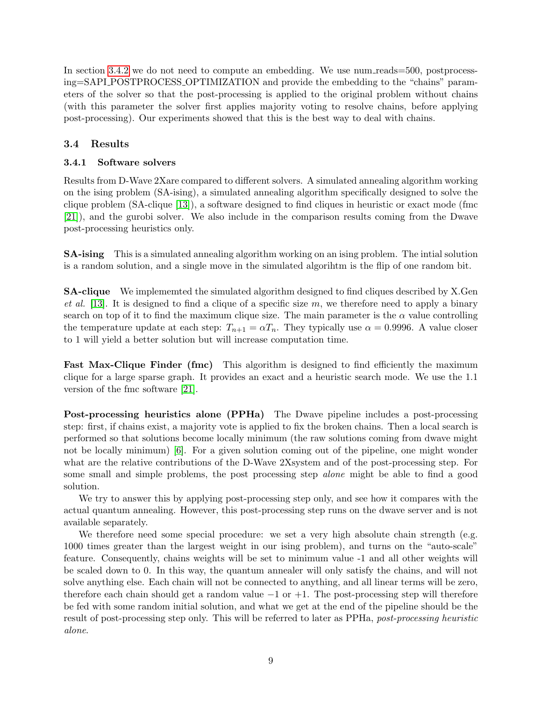In section [3.4.2](#page-9-0) we do not need to compute an embedding. We use num reads = 500, postprocessing=SAPI POSTPROCESS OPTIMIZATION and provide the embedding to the "chains" parameters of the solver so that the post-processing is applied to the original problem without chains (with this parameter the solver first applies majority voting to resolve chains, before applying post-processing). Our experiments showed that this is the best way to deal with chains.

## 3.4 Results

## 3.4.1 Software solvers

Results from D-Wave 2Xare compared to different solvers. A simulated annealing algorithm working on the ising problem (SA-ising), a simulated annealing algorithm specifically designed to solve the clique problem (SA-clique [\[13\]](#page-24-10)), a software designed to find cliques in heuristic or exact mode (fmc [\[21\]](#page-24-11)), and the gurobi solver. We also include in the comparison results coming from the Dwave post-processing heuristics only.

SA-ising This is a simulated annealing algorithm working on an ising problem. The intial solution is a random solution, and a single move in the simulated algorihtm is the flip of one random bit.

SA-clique We implememted the simulated algorithm designed to find cliques described by X.Gen et al. [\[13\]](#page-24-10). It is designed to find a clique of a specific size m, we therefore need to apply a binary search on top of it to find the maximum clique size. The main parameter is the  $\alpha$  value controlling the temperature update at each step:  $T_{n+1} = \alpha T_n$ . They typically use  $\alpha = 0.9996$ . A value closer to 1 will yield a better solution but will increase computation time.

Fast Max-Clique Finder (fmc) This algorithm is designed to find efficiently the maximum clique for a large sparse graph. It provides an exact and a heuristic search mode. We use the 1.1 version of the fmc software [\[21\]](#page-24-11).

Post-processing heuristics alone (PPHa) The Dwave pipeline includes a post-processing step: first, if chains exist, a majority vote is applied to fix the broken chains. Then a local search is performed so that solutions become locally minimum (the raw solutions coming from dwave might not be locally minimum) [\[6\]](#page-24-17). For a given solution coming out of the pipeline, one might wonder what are the relative contributions of the D-Wave 2Xsystem and of the post-processing step. For some small and simple problems, the post processing step alone might be able to find a good solution.

We try to answer this by applying post-processing step only, and see how it compares with the actual quantum annealing. However, this post-processing step runs on the dwave server and is not available separately.

We therefore need some special procedure: we set a very high absolute chain strength (e.g. 1000 times greater than the largest weight in our ising problem), and turns on the "auto-scale" feature. Consequently, chains weights will be set to minimum value -1 and all other weights will be scaled down to 0. In this way, the quantum annealer will only satisfy the chains, and will not solve anything else. Each chain will not be connected to anything, and all linear terms will be zero, therefore each chain should get a random value  $-1$  or  $+1$ . The post-processing step will therefore be fed with some random initial solution, and what we get at the end of the pipeline should be the result of post-processing step only. This will be referred to later as PPHa, post-processing heuristic alone.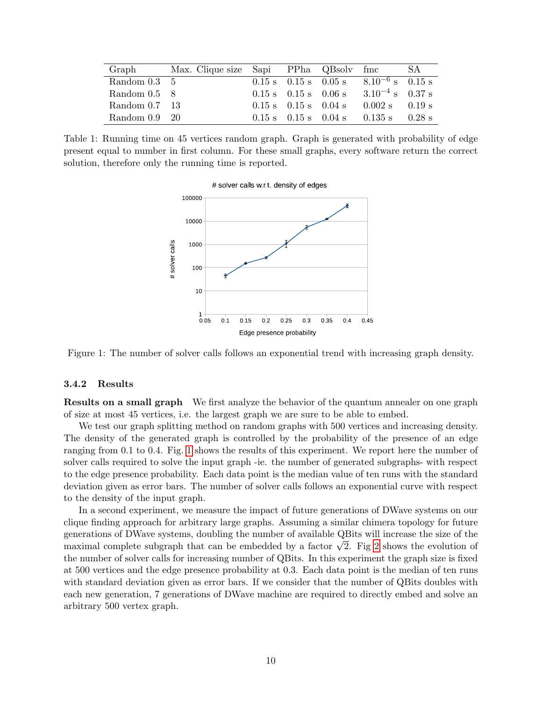| Graph                | Max. Clique size Sapi PPha QBsolv fmc |                                                    |                                                    |                                                                      | SА       |
|----------------------|---------------------------------------|----------------------------------------------------|----------------------------------------------------|----------------------------------------------------------------------|----------|
| Random $0.3 \quad 5$ |                                       |                                                    | $0.15 \text{ s}$ $0.15 \text{ s}$ $0.05 \text{ s}$ | $8.10^{-6}$ s $0.15$ s                                               |          |
| Random $0.5 \quad 8$ |                                       | $0.15 \text{ s}$ $0.15 \text{ s}$ $0.06 \text{ s}$ |                                                    | $3.10^{-4}$ s 0.37 s                                                 |          |
| Random 0.7 13        |                                       | $0.15 \text{ s}$ $0.15 \text{ s}$ $0.04 \text{ s}$ |                                                    | $0.002$ s                                                            | $0.19$ s |
| Random $0.9$ 20      |                                       |                                                    |                                                    | $0.15 \text{ s}$ $0.15 \text{ s}$ $0.04 \text{ s}$ $0.135 \text{ s}$ | $0.28$ s |

<span id="page-9-1"></span>Table 1: Running time on 45 vertices random graph. Graph is generated with probability of edge present equal to number in first column. For these small graphs, every software return the correct solution, therefore only the running time is reported.



Figure 1: The number of solver calls follows an exponential trend with increasing graph density.

### 3.4.2 Results

<span id="page-9-0"></span>Results on a small graph We first analyze the behavior of the quantum annealer on one graph of size at most 45 vertices, i.e. the largest graph we are sure to be able to embed.

We test our graph splitting method on random graphs with 500 vertices and increasing density. The density of the generated graph is controlled by the probability of the presence of an edge ranging from 0.1 to 0.4. Fig. [1](#page-9-1) shows the results of this experiment. We report here the number of solver calls required to solve the input graph -ie. the number of generated subgraphs- with respect to the edge presence probability. Each data point is the median value of ten runs with the standard deviation given as error bars. The number of solver calls follows an exponential curve with respect to the density of the input graph.

In a second experiment, we measure the impact of future generations of DWave systems on our clique finding approach for arbitrary large graphs. Assuming a similar chimera topology for future generations of DWave systems, doubling the number of available QBits will increase the size of the generations of Dwave systems, doubling the number of available QBits will increase the size of the<br>maximal complete subgraph that can be embedded by a factor  $\sqrt{2}$ . Fig [2](#page-10-0) shows the evolution of the number of solver calls for increasing number of QBits. In this experiment the graph size is fixed at 500 vertices and the edge presence probability at 0.3. Each data point is the median of ten runs with standard deviation given as error bars. If we consider that the number of QBits doubles with each new generation, 7 generations of DWave machine are required to directly embed and solve an arbitrary 500 vertex graph.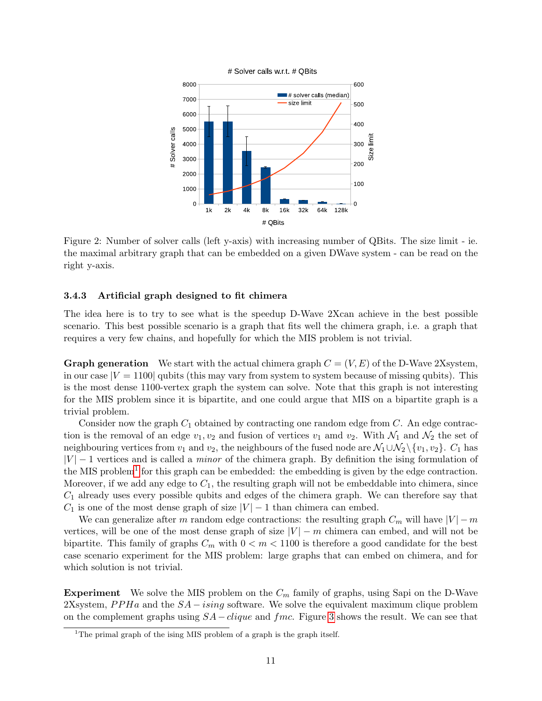<span id="page-10-0"></span>

Figure 2: Number of solver calls (left y-axis) with increasing number of QBits. The size limit - ie. the maximal arbitrary graph that can be embedded on a given DWave system - can be read on the right y-axis.

### 3.4.3 Artificial graph designed to fit chimera

The idea here is to try to see what is the speedup D-Wave 2Xcan achieve in the best possible scenario. This best possible scenario is a graph that fits well the chimera graph, i.e. a graph that requires a very few chains, and hopefully for which the MIS problem is not trivial.

**Graph generation** We start with the actual chimera graph  $C = (V, E)$  of the D-Wave 2Xsystem. in our case  $|V = 1100|$  qubits (this may vary from system to system because of missing qubits). This is the most dense 1100-vertex graph the system can solve. Note that this graph is not interesting for the MIS problem since it is bipartite, and one could argue that MIS on a bipartite graph is a trivial problem.

Consider now the graph  $C_1$  obtained by contracting one random edge from C. An edge contraction is the removal of an edge  $v_1, v_2$  and fusion of vertices  $v_1$  amd  $v_2$ . With  $\mathcal{N}_1$  and  $\mathcal{N}_2$  the set of neighbouring vertices from  $v_1$  and  $v_2$ , the neighbours of the fused node are  $\mathcal{N}_1 \cup \mathcal{N}_2 \setminus \{v_1, v_2\}$ .  $C_1$  has  $|V| - 1$  vertices and is called a *minor* of the chimera graph. By definition the ising formulation of the MIS problem<sup>[1](#page-10-1)</sup> for this graph can be embedded: the embedding is given by the edge contraction. Moreover, if we add any edge to  $C_1$ , the resulting graph will not be embeddable into chimera, since  $C_1$  already uses every possible qubits and edges of the chimera graph. We can therefore say that  $C_1$  is one of the most dense graph of size  $|V| - 1$  than chimera can embed.

We can generalize after m random edge contractions: the resulting graph  $C_m$  will have  $|V| - m$ vertices, will be one of the most dense graph of size  $|V| - m$  chimera can embed, and will not be bipartite. This family of graphs  $C_m$  with  $0 < m < 1100$  is therefore a good candidate for the best case scenario experiment for the MIS problem: large graphs that can embed on chimera, and for which solution is not trivial.

**Experiment** We solve the MIS problem on the  $C_m$  family of graphs, using Sapi on the D-Wave 2Xsystem, PPHa and the  $SA - ising$  software. We solve the equivalent maximum clique problem on the complement graphs using  $SA - clique$  and  $func$ . Figure [3](#page-11-0) shows the result. We can see that

<span id="page-10-1"></span><sup>&</sup>lt;sup>1</sup>The primal graph of the ising MIS problem of a graph is the graph itself.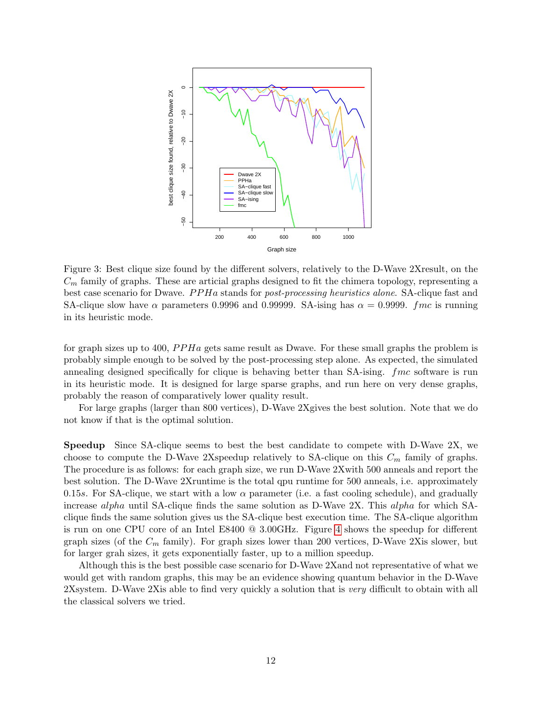<span id="page-11-0"></span>

Figure 3: Best clique size found by the different solvers, relatively to the D-Wave 2Xresult, on the  $C_m$  family of graphs. These are articial graphs designed to fit the chimera topology, representing a best case scenario for Dwave. *PPHa* stands for *post-processing heuristics alone*. SA-clique fast and SA-clique slow have  $\alpha$  parameters 0.9996 and 0.99999. SA-ising has  $\alpha = 0.9999$ . *fmc* is running in its heuristic mode.

for graph sizes up to 400,  $PPHa$  gets same result as Dwave. For these small graphs the problem is probably simple enough to be solved by the post-processing step alone. As expected, the simulated annealing designed specifically for clique is behaving better than SA-ising. *fmc* software is run in its heuristic mode. It is designed for large sparse graphs, and run here on very dense graphs, probably the reason of comparatively lower quality result.

For large graphs (larger than 800 vertices), D-Wave 2Xgives the best solution. Note that we do not know if that is the optimal solution.

Speedup Since SA-clique seems to best the best candidate to compete with D-Wave 2X, we choose to compute the D-Wave 2Xspeedup relatively to SA-clique on this  $C_m$  family of graphs. The procedure is as follows: for each graph size, we run D-Wave 2Xwith 500 anneals and report the best solution. The D-Wave 2Xruntime is the total qpu runtime for 500 anneals, i.e. approximately 0.15s. For SA-clique, we start with a low  $\alpha$  parameter (i.e. a fast cooling schedule), and gradually increase alpha until SA-clique finds the same solution as D-Wave 2X. This alpha for which SAclique finds the same solution gives us the SA-clique best execution time. The SA-clique algorithm is run on one CPU core of an Intel E8400 @ 3.00GHz. Figure [4](#page-12-0) shows the speedup for different graph sizes (of the  $C_m$  family). For graph sizes lower than 200 vertices, D-Wave 2Xis slower, but for larger grah sizes, it gets exponentially faster, up to a million speedup.

Although this is the best possible case scenario for D-Wave 2Xand not representative of what we would get with random graphs, this may be an evidence showing quantum behavior in the D-Wave 2Xsystem. D-Wave 2Xis able to find very quickly a solution that is very difficult to obtain with all the classical solvers we tried.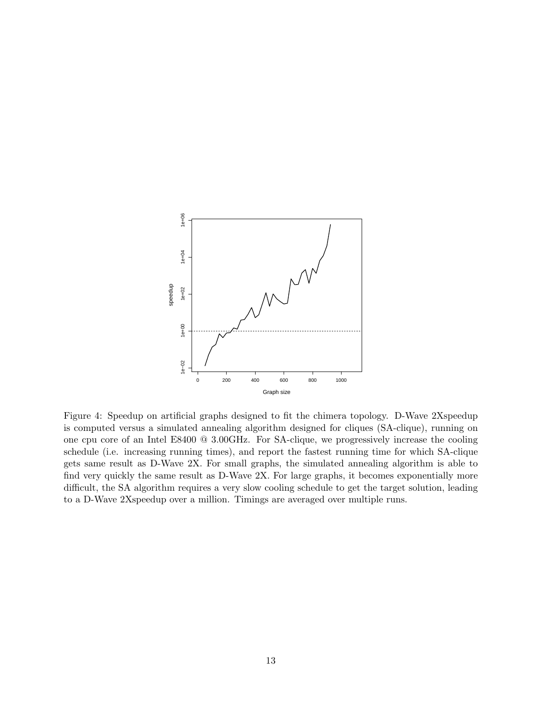<span id="page-12-0"></span>

Figure 4: Speedup on artificial graphs designed to fit the chimera topology. D-Wave 2Xspeedup is computed versus a simulated annealing algorithm designed for cliques (SA-clique), running on one cpu core of an Intel E8400 @ 3.00GHz. For SA-clique, we progressively increase the cooling schedule (i.e. increasing running times), and report the fastest running time for which SA-clique gets same result as D-Wave 2X. For small graphs, the simulated annealing algorithm is able to find very quickly the same result as D-Wave 2X. For large graphs, it becomes exponentially more difficult, the SA algorithm requires a very slow cooling schedule to get the target solution, leading to a D-Wave 2Xspeedup over a million. Timings are averaged over multiple runs.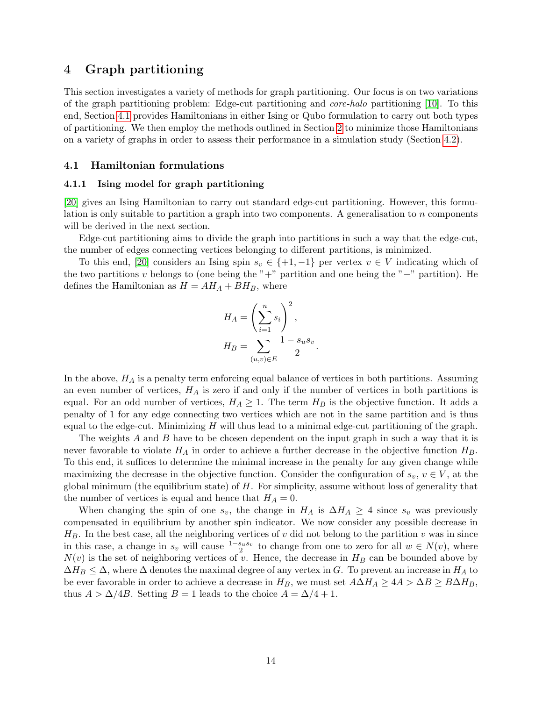# <span id="page-13-0"></span>4 Graph partitioning

This section investigates a variety of methods for graph partitioning. Our focus is on two variations of the graph partitioning problem: Edge-cut partitioning and core-halo partitioning [\[10\]](#page-24-3). To this end, Section [4.1](#page-13-2) provides Hamiltonians in either Ising or Qubo formulation to carry out both types of partitioning. We then employ the methods outlined in Section [2](#page-1-0) to minimize those Hamiltonians on a variety of graphs in order to assess their performance in a simulation study (Section [4.2\)](#page-16-0).

### <span id="page-13-2"></span>4.1 Hamiltonian formulations

### <span id="page-13-1"></span>4.1.1 Ising model for graph partitioning

[\[20\]](#page-24-16) gives an Ising Hamiltonian to carry out standard edge-cut partitioning. However, this formulation is only suitable to partition a graph into two components. A generalisation to n components will be derived in the next section.

Edge-cut partitioning aims to divide the graph into partitions in such a way that the edge-cut, the number of edges connecting vertices belonging to different partitions, is minimized.

To this end, [\[20\]](#page-24-16) considers an Ising spin  $s_v \in \{+1, -1\}$  per vertex  $v \in V$  indicating which of the two partitions v belongs to (one being the "+" partition and one being the "−" partition). He defines the Hamiltonian as  $H = AH_A + BH_B$ , where

$$
H_A = \left(\sum_{i=1}^n s_i\right)^2,
$$
  
\n
$$
H_B = \sum_{(u,v)\in E} \frac{1 - s_u s_v}{2}.
$$

In the above,  $H_A$  is a penalty term enforcing equal balance of vertices in both partitions. Assuming an even number of vertices,  $H_A$  is zero if and only if the number of vertices in both partitions is equal. For an odd number of vertices,  $H_A \geq 1$ . The term  $H_B$  is the objective function. It adds a penalty of 1 for any edge connecting two vertices which are not in the same partition and is thus equal to the edge-cut. Minimizing  $H$  will thus lead to a minimal edge-cut partitioning of the graph.

The weights A and B have to be chosen dependent on the input graph in such a way that it is never favorable to violate  $H_A$  in order to achieve a further decrease in the objective function  $H_B$ . To this end, it suffices to determine the minimal increase in the penalty for any given change while maximizing the decrease in the objective function. Consider the configuration of  $s_v, v \in V$ , at the global minimum (the equilibrium state) of  $H$ . For simplicity, assume without loss of generality that the number of vertices is equal and hence that  $H_A = 0$ .

When changing the spin of one  $s_v$ , the change in  $H_A$  is  $\Delta H_A \geq 4$  since  $s_v$  was previously compensated in equilibrium by another spin indicator. We now consider any possible decrease in  $H_B$ . In the best case, all the neighboring vertices of v did not belong to the partition v was in since in this case, a change in  $s_v$  will cause  $\frac{1-s_us_v}{2}$  to change from one to zero for all  $w \in N(v)$ , where  $N(v)$  is the set of neighboring vertices of v. Hence, the decrease in  $H_B$  can be bounded above by  $\Delta H_B \leq \Delta$ , where  $\Delta$  denotes the maximal degree of any vertex in G. To prevent an increase in  $H_A$  to be ever favorable in order to achieve a decrease in  $H_B$ , we must set  $A\Delta H_A \geq 4A > \Delta B \geq B\Delta H_B$ , thus  $A > \Delta/4B$ . Setting  $B = 1$  leads to the choice  $A = \Delta/4 + 1$ .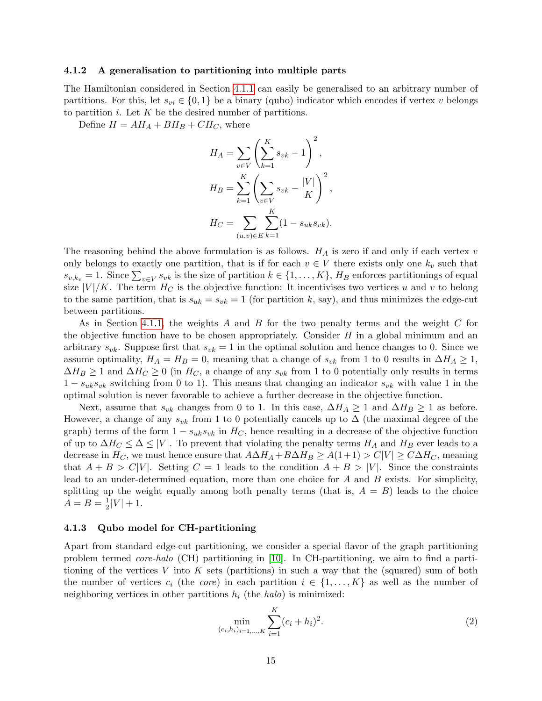### <span id="page-14-0"></span>4.1.2 A generalisation to partitioning into multiple parts

The Hamiltonian considered in Section [4.1.1](#page-13-1) can easily be generalised to an arbitrary number of partitions. For this, let  $s_{vi} \in \{0,1\}$  be a binary (qubo) indicator which encodes if vertex v belongs to partition  $i$ . Let  $K$  be the desired number of partitions.

Define  $H = AH_A + BH_B + CH_C$ , where

$$
H_A = \sum_{v \in V} \left( \sum_{k=1}^K s_{vk} - 1 \right)^2,
$$
  
\n
$$
H_B = \sum_{k=1}^K \left( \sum_{v \in V} s_{vk} - \frac{|V|}{K} \right)^2,
$$
  
\n
$$
H_C = \sum_{(u,v) \in E} \sum_{k=1}^K (1 - s_{uk} s_{vk}).
$$

The reasoning behind the above formulation is as follows.  $H_A$  is zero if and only if each vertex v only belongs to exactly one partition, that is if for each  $v \in V$  there exists only one  $k_v$  such that  $s_{v,k_v} = 1$ . Since  $\sum_{v \in V} s_{vk}$  is the size of partition  $k \in \{1, \ldots, K\}$ ,  $H_B$  enforces partitionings of equal size  $|V|/K$ . The term  $H_C$  is the objective function: It incentivises two vertices u and v to belong to the same partition, that is  $s_{uk} = s_{vk} = 1$  (for partition k, say), and thus minimizes the edge-cut between partitions.

As in Section [4.1.1,](#page-13-1) the weights A and B for the two penalty terms and the weight C for the objective function have to be chosen appropriately. Consider  $H$  in a global minimum and an arbitrary  $s_{vk}$ . Suppose first that  $s_{vk} = 1$  in the optimal solution and hence changes to 0. Since we assume optimality,  $H_A = H_B = 0$ , meaning that a change of  $s_{vk}$  from 1 to 0 results in  $\Delta H_A \ge 1$ ,  $\Delta H_B \geq 1$  and  $\Delta H_C \geq 0$  (in  $H_C$ , a change of any  $s_{vk}$  from 1 to 0 potentially only results in terms  $1 - s_{uk} s_{vk}$  switching from 0 to 1). This means that changing an indicator  $s_{vk}$  with value 1 in the optimal solution is never favorable to achieve a further decrease in the objective function.

Next, assume that  $s_{vk}$  changes from 0 to 1. In this case,  $\Delta H_A \geq 1$  and  $\Delta H_B \geq 1$  as before. However, a change of any  $s_{vk}$  from 1 to 0 potentially cancels up to  $\Delta$  (the maximal degree of the graph) terms of the form  $1 - s_{uk} s_{vk}$  in  $H_C$ , hence resulting in a decrease of the objective function of up to  $\Delta H_C \leq \Delta \leq |V|$ . To prevent that violating the penalty terms  $H_A$  and  $H_B$  ever leads to a decrease in  $H_C$ , we must hence ensure that  $A\Delta H_A + B\Delta H_B \geq A(1+1) > C|V| \geq C\Delta H_C$ , meaning that  $A + B > C|V|$ . Setting  $C = 1$  leads to the condition  $A + B > |V|$ . Since the constraints lead to an under-determined equation, more than one choice for A and B exists. For simplicity, splitting up the weight equally among both penalty terms (that is,  $A = B$ ) leads to the choice  $A = B = \frac{1}{2}$  $\frac{1}{2}|V| + 1.$ 

### <span id="page-14-1"></span>4.1.3 Qubo model for CH-partitioning

Apart from standard edge-cut partitioning, we consider a special flavor of the graph partitioning problem termed core-halo (CH) partitioning in [\[10\]](#page-24-3). In CH-partitioning, we aim to find a partitioning of the vertices V into K sets (partitions) in such a way that the (squared) sum of both the number of vertices  $c_i$  (the core) in each partition  $i \in \{1, \ldots, K\}$  as well as the number of neighboring vertices in other partitions  $h_i$  (the halo) is minimized:

<span id="page-14-2"></span>
$$
\min_{(c_i, h_i)_{i=1,\dots,K}} \sum_{i=1}^K (c_i + h_i)^2.
$$
\n(2)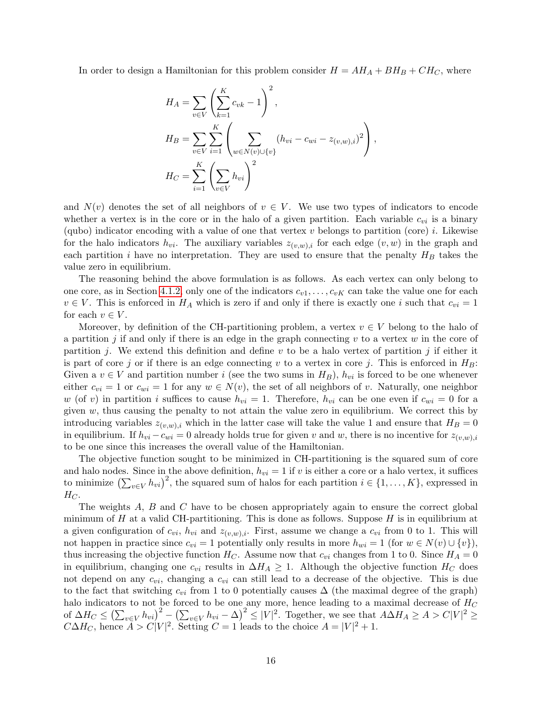In order to design a Hamiltonian for this problem consider  $H = AH_A + BH_B + CH_C$ , where

$$
H_A = \sum_{v \in V} \left( \sum_{k=1}^K c_{vk} - 1 \right)^2,
$$
  
\n
$$
H_B = \sum_{v \in V} \sum_{i=1}^K \left( \sum_{w \in N(v) \cup \{v\}} (h_{vi} - c_{wi} - z_{(v,w),i})^2 \right),
$$
  
\n
$$
H_C = \sum_{i=1}^K \left( \sum_{v \in V} h_{vi} \right)^2
$$

and  $N(v)$  denotes the set of all neighbors of  $v \in V$ . We use two types of indicators to encode whether a vertex is in the core or in the halo of a given partition. Each variable  $c_{vi}$  is a binary (qubo) indicator encoding with a value of one that vertex  $v$  belongs to partition (core)  $i$ . Likewise for the halo indicators  $h_{vi}$ . The auxiliary variables  $z_{(v,w),i}$  for each edge  $(v,w)$  in the graph and each partition i have no interpretation. They are used to ensure that the penalty  $H_B$  takes the value zero in equilibrium.

The reasoning behind the above formulation is as follows. As each vertex can only belong to one core, as in Section [4.1.2,](#page-14-0) only one of the indicators  $c_{v1}, \ldots, c_{vK}$  can take the value one for each  $v \in V$ . This is enforced in  $H_A$  which is zero if and only if there is exactly one i such that  $c_{vi} = 1$ for each  $v \in V$ .

Moreover, by definition of the CH-partitioning problem, a vertex  $v \in V$  belong to the halo of a partition j if and only if there is an edge in the graph connecting  $v$  to a vertex  $w$  in the core of partition j. We extend this definition and define v to be a halo vertex of partition j if either it is part of core j or if there is an edge connecting v to a vertex in core j. This is enforced in  $H_B$ : Given a  $v \in V$  and partition number i (see the two sums in  $H_B$ ),  $h_{vi}$  is forced to be one whenever either  $c_{vi} = 1$  or  $c_{wi} = 1$  for any  $w \in N(v)$ , the set of all neighbors of v. Naturally, one neighbor w (of v) in partition i suffices to cause  $h_{vi} = 1$ . Therefore,  $h_{vi}$  can be one even if  $c_{wi} = 0$  for a given  $w$ , thus causing the penalty to not attain the value zero in equilibrium. We correct this by introducing variables  $z_{(v,w),i}$  which in the latter case will take the value 1 and ensure that  $H_B = 0$ in equilibrium. If  $h_{vi} - c_{wi} = 0$  already holds true for given v and w, there is no incentive for  $z_{(v,w),i}$ to be one since this increases the overall value of the Hamiltonian.

The objective function sought to be minimized in CH-partitioning is the squared sum of core and halo nodes. Since in the above definition,  $h_{vi} = 1$  if v is either a core or a halo vertex, it suffices to minimize  $\left(\sum_{v\in V}h_{vi}\right)^2$ , the squared sum of halos for each partition  $i \in \{1, \ldots, K\}$ , expressed in  $H_C$ .

The weights A, B and C have to be chosen appropriately again to ensure the correct global minimum of  $H$  at a valid CH-partitioning. This is done as follows. Suppose  $H$  is in equilibrium at a given configuration of  $c_{vi}$ ,  $h_{vi}$  and  $z_{(v,w),i}$ . First, assume we change a  $c_{vi}$  from 0 to 1. This will not happen in practice since  $c_{vi} = 1$  potentially only results in more  $h_{wi} = 1$  (for  $w \in N(v) \cup \{v\}$ ), thus increasing the objective function  $H_C$ . Assume now that  $c_{vi}$  changes from 1 to 0. Since  $H_A = 0$ in equilibrium, changing one  $c_{vi}$  results in  $\Delta H_A \geq 1$ . Although the objective function  $H_C$  does not depend on any  $c_{vi}$ , changing a  $c_{vi}$  can still lead to a decrease of the objective. This is due to the fact that switching  $c_{vi}$  from 1 to 0 potentially causes  $\Delta$  (the maximal degree of the graph) halo indicators to not be forced to be one any more, hence leading to a maximal decrease of  $H_C$ of  $\Delta H_C \leq (\sum_{v \in V} h_{vi})^2 - (\sum_{v \in V} h_{vi} - \Delta)^2 \leq |V|^2$ . Together, we see that  $A \Delta H_A \geq A > C|V|^2 \geq$  $C\Delta H_C$ , hence  $\overline{A} > C|V|^2$ . Setting  $C = 1$  leads to the choice  $A = |V|^2 + 1$ .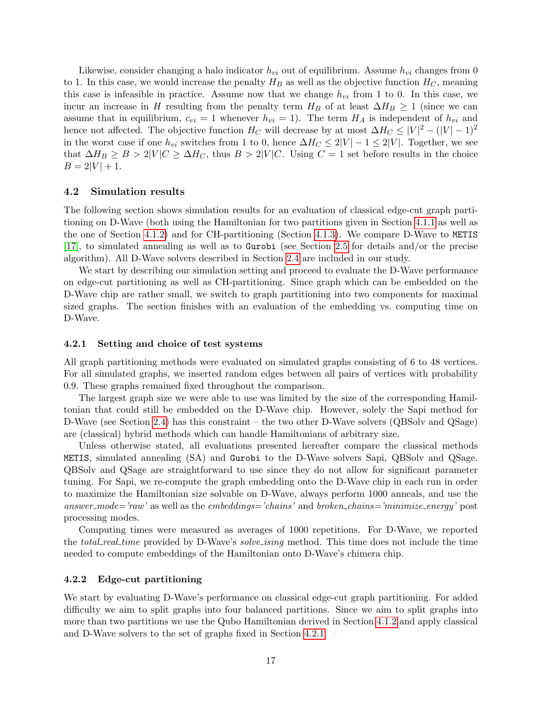Likewise, consider changing a halo indicator  $h_{vi}$  out of equilibrium. Assume  $h_{vi}$  changes from 0 to 1. In this case, we would increase the penalty  $H_B$  as well as the objective function  $H_C$ , meaning this case is infeasible in practice. Assume now that we change  $h_{vi}$  from 1 to 0. In this case, we incur an increase in H resulting from the penalty term  $H_B$  of at least  $\Delta H_B \geq 1$  (since we can assume that in equilibrium,  $c_{vi} = 1$  whenever  $h_{vi} = 1$ ). The term  $H_A$  is independent of  $h_{vi}$  and hence not affected. The objective function  $H_C$  will decrease by at most  $\Delta H_C \leq |V|^2 - (|V| - 1)^2$ in the worst case if one  $h_{vi}$  switches from 1 to 0, hence  $\Delta H_C \leq 2|V| - 1 \leq 2|V|$ . Together, we see that  $\Delta H_B \geq B > 2|V|C \geq \Delta H_C$ , thus  $B > 2|V|C$ . Using  $C = 1$  set before results in the choice  $B = 2|V| + 1.$ 

### <span id="page-16-0"></span>4.2 Simulation results

The following section shows simulation results for an evaluation of classical edge-cut graph partitioning on D-Wave (both using the Hamiltonian for two partitions given in Section [4.1.1](#page-13-1) as well as the one of Section [4.1.2\)](#page-14-0) and for CH-partitioning (Section [4.1.3\)](#page-14-1). We compare D-Wave to METIS [\[17\]](#page-24-8), to simulated annealing as well as to Gurobi (see Section [2.5](#page-4-0) for details and/or the precise algorithm). All D-Wave solvers described in Section [2.4](#page-3-0) are included in our study.

We start by describing our simulation setting and proceed to evaluate the D-Wave performance on edge-cut partitioning as well as CH-partitioning. Since graph which can be embedded on the D-Wave chip are rather small, we switch to graph partitioning into two components for maximal sized graphs. The section finishes with an evaluation of the embedding vs. computing time on D-Wave.

### <span id="page-16-1"></span>4.2.1 Setting and choice of test systems

All graph partitioning methods were evaluated on simulated graphs consisting of 6 to 48 vertices. For all simulated graphs, we inserted random edges between all pairs of vertices with probability 0.9. These graphs remained fixed throughout the comparison.

The largest graph size we were able to use was limited by the size of the corresponding Hamiltonian that could still be embedded on the D-Wave chip. However, solely the Sapi method for D-Wave (see Section [2.4\)](#page-3-0) has this constraint – the two other D-Wave solvers (QBSolv and QSage) are (classical) hybrid methods which can handle Hamiltonians of arbitrary size.

Unless otherwise stated, all evaluations presented hereafter compare the classical methods METIS, simulated annealing (SA) and Gurobi to the D-Wave solvers Sapi, QBSolv and QSage. QBSolv and QSage are straightforward to use since they do not allow for significant parameter tuning. For Sapi, we re-compute the graph embedding onto the D-Wave chip in each run in order to maximize the Hamiltonian size solvable on D-Wave, always perform 1000 anneals, and use the answer\_mode='raw' as well as the embeddings='chains' and broken\_chains='minimize\_energy' post processing modes.

Computing times were measured as averages of 1000 repetitions. For D-Wave, we reported the *total\_real\_time* provided by D-Wave's *solve\_ising* method. This time does not include the time needed to compute embeddings of the Hamiltonian onto D-Wave's chimera chip.

### <span id="page-16-2"></span>4.2.2 Edge-cut partitioning

We start by evaluating D-Wave's performance on classical edge-cut graph partitioning. For added difficulty we aim to split graphs into four balanced partitions. Since we aim to split graphs into more than two partitions we use the Qubo Hamiltonian derived in Section [4.1.2](#page-14-0) and apply classical and D-Wave solvers to the set of graphs fixed in Section [4.2.1.](#page-16-1)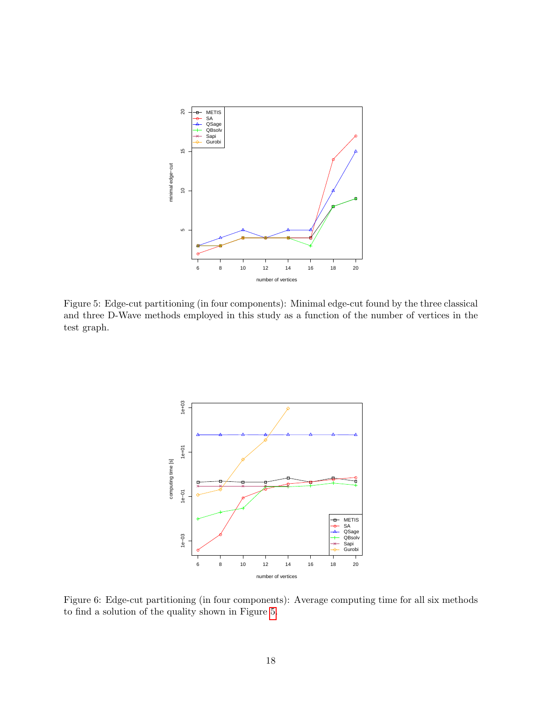<span id="page-17-0"></span>

<span id="page-17-1"></span>Figure 5: Edge-cut partitioning (in four components): Minimal edge-cut found by the three classical and three D-Wave methods employed in this study as a function of the number of vertices in the test graph.



Figure 6: Edge-cut partitioning (in four components): Average computing time for all six methods to find a solution of the quality shown in Figure [5.](#page-17-0)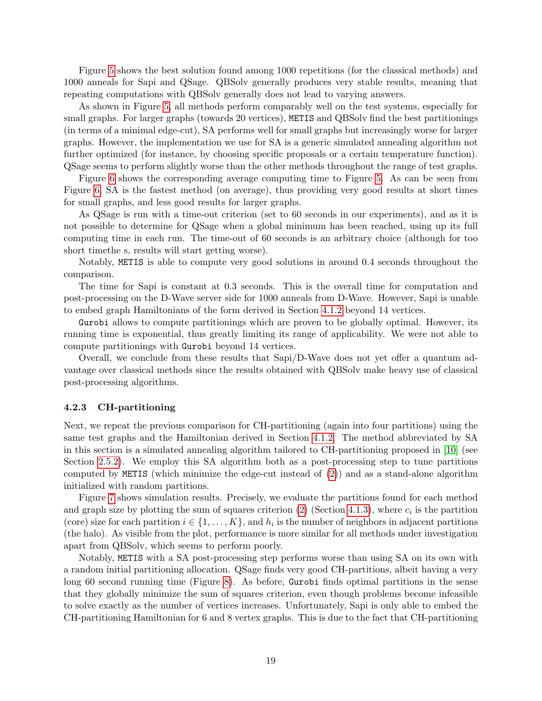Figure [5](#page-17-0) shows the best solution found among 1000 repetitions (for the classical methods) and 1000 anneals for Sapi and QSage. QBSolv generally produces very stable results, meaning that repeating computations with QBSolv generally does not lead to varying answers.

As shown in Figure [5,](#page-17-0) all methods perform comparably well on the test systems, especially for small graphs. For larger graphs (towards 20 vertices), METIS and QBSolv find the best partitionings (in terms of a minimal edge-cut), SA performs well for small graphs but increasingly worse for larger graphs. However, the implementation we use for SA is a generic simulated annealing algorithm not further optimized (for instance, by choosing specific proposals or a certain temperature function). QSage seems to perform slightly worse than the other methods throughout the range of test graphs.

Figure [6](#page-17-1) shows the corresponding average computing time to Figure [5.](#page-17-0) As can be seen from Figure [6,](#page-17-1) SA is the fastest method (on average), thus providing very good results at short times for small graphs, and less good results for larger graphs.

As QSage is run with a time-out criterion (set to 60 seconds in our experiments), and as it is not possible to determine for QSage when a global minimum has been reached, using up its full computing time in each run. The time-out of 60 seconds is an arbitrary choice (although for too short timethe s, results will start getting worse).

Notably, METIS is able to compute very good solutions in around 0.4 seconds throughout the comparison.

The time for Sapi is constant at 0.3 seconds. This is the overall time for computation and post-processing on the D-Wave server side for 1000 anneals from D-Wave. However, Sapi is unable to embed graph Hamiltonians of the form derived in Section [4.1.2](#page-14-0) beyond 14 vertices.

Gurobi allows to compute partitionings which are proven to be globally optimal. However, its running time is exponential, thus greatly limiting its range of applicability. We were not able to compute partitionings with Gurobi beyond 14 vertices.

Overall, we conclude from these results that Sapi/D-Wave does not yet offer a quantum advantage over classical methods since the results obtained with QBSolv make heavy use of classical post-processing algorithms.

### 4.2.3 CH-partitioning

Next, we repeat the previous comparison for CH-partitioning (again into four partitions) using the same test graphs and the Hamiltonian derived in Section [4.1.2.](#page-14-0) The method abbreviated by SA in this section is a simulated annealing algorithm tailored to CH-partitioning proposed in [\[10\]](#page-24-3) (see Section [2.5.2\)](#page-5-1). We employ this SA algorithm both as a post-processing step to tune partitions computed by METIS (which minimize the edge-cut instead of  $(2)$ ) and as a stand-alone algorithm initialized with random partitions.

Figure [7](#page-19-0) shows simulation results. Precisely, we evaluate the partitions found for each method and graph size by plotting the sum of squares criterion  $(2)$  (Section [4.1.3\)](#page-14-1), where  $c_i$  is the partition (core) size for each partition  $i \in \{1, ..., K\}$ , and  $h_i$  is the number of neighbors in adjacent partitions (the halo). As visible from the plot, performance is more similar for all methods under investigation apart from QBSolv, which seems to perform poorly.

Notably, METIS with a SA post-processing step performs worse than using SA on its own with a random initial partitioning allocation. QSage finds very good CH-partitions, albeit having a very long 60 second running time (Figure [8\)](#page-19-1). As before, Gurobi finds optimal partitions in the sense that they globally minimize the sum of squares criterion, even though problems become infeasible to solve exactly as the number of vertices increases. Unfortunately, Sapi is only able to embed the CH-partitioning Hamiltonian for 6 and 8 vertex graphs. This is due to the fact that CH-partitioning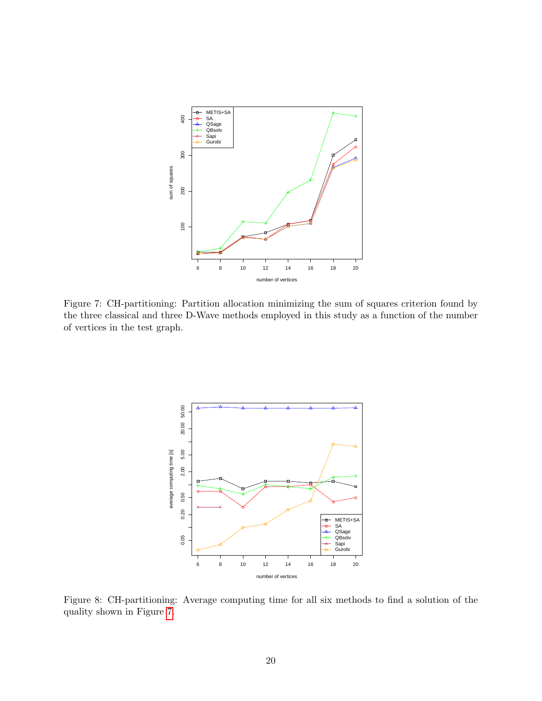<span id="page-19-0"></span>

<span id="page-19-1"></span>Figure 7: CH-partitioning: Partition allocation minimizing the sum of squares criterion found by the three classical and three D-Wave methods employed in this study as a function of the number of vertices in the test graph.



Figure 8: CH-partitioning: Average computing time for all six methods to find a solution of the quality shown in Figure [7.](#page-19-0)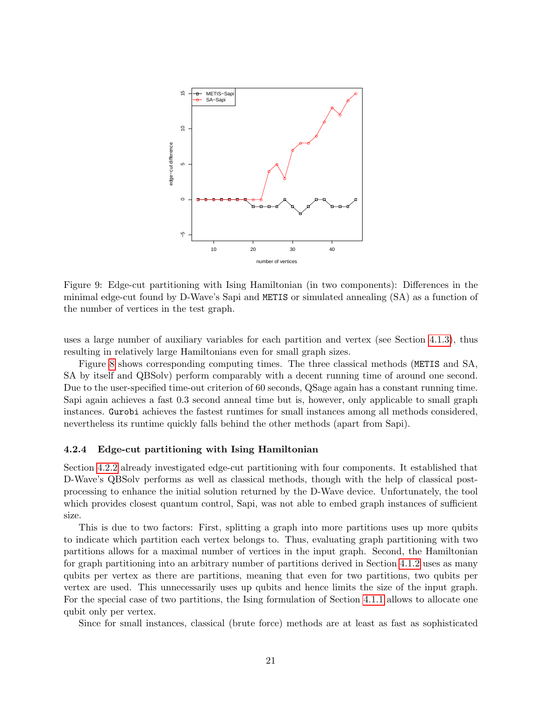<span id="page-20-0"></span>

Figure 9: Edge-cut partitioning with Ising Hamiltonian (in two components): Differences in the minimal edge-cut found by D-Wave's Sapi and METIS or simulated annealing (SA) as a function of the number of vertices in the test graph.

uses a large number of auxiliary variables for each partition and vertex (see Section [4.1.3\)](#page-14-1), thus resulting in relatively large Hamiltonians even for small graph sizes.

Figure [8](#page-19-1) shows corresponding computing times. The three classical methods (METIS and SA, SA by itself and QBSolv) perform comparably with a decent running time of around one second. Due to the user-specified time-out criterion of 60 seconds, QSage again has a constant running time. Sapi again achieves a fast 0.3 second anneal time but is, however, only applicable to small graph instances. Gurobi achieves the fastest runtimes for small instances among all methods considered, nevertheless its runtime quickly falls behind the other methods (apart from Sapi).

#### <span id="page-20-1"></span>4.2.4 Edge-cut partitioning with Ising Hamiltonian

Section [4.2.2](#page-16-2) already investigated edge-cut partitioning with four components. It established that D-Wave's QBSolv performs as well as classical methods, though with the help of classical postprocessing to enhance the initial solution returned by the D-Wave device. Unfortunately, the tool which provides closest quantum control, Sapi, was not able to embed graph instances of sufficient size.

This is due to two factors: First, splitting a graph into more partitions uses up more qubits to indicate which partition each vertex belongs to. Thus, evaluating graph partitioning with two partitions allows for a maximal number of vertices in the input graph. Second, the Hamiltonian for graph partitioning into an arbitrary number of partitions derived in Section [4.1.2](#page-14-0) uses as many qubits per vertex as there are partitions, meaning that even for two partitions, two qubits per vertex are used. This unnecessarily uses up qubits and hence limits the size of the input graph. For the special case of two partitions, the Ising formulation of Section [4.1.1](#page-13-1) allows to allocate one qubit only per vertex.

Since for small instances, classical (brute force) methods are at least as fast as sophisticated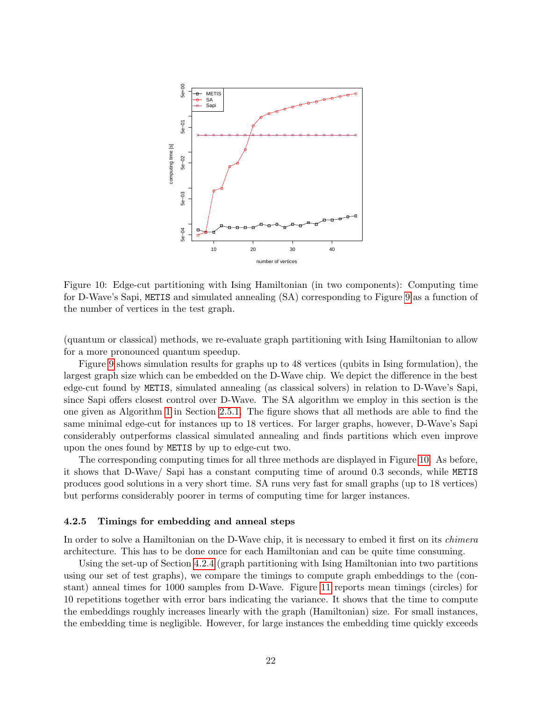<span id="page-21-0"></span>

Figure 10: Edge-cut partitioning with Ising Hamiltonian (in two components): Computing time for D-Wave's Sapi, METIS and simulated annealing (SA) corresponding to Figure [9](#page-20-0) as a function of the number of vertices in the test graph.

(quantum or classical) methods, we re-evaluate graph partitioning with Ising Hamiltonian to allow for a more pronounced quantum speedup.

Figure [9](#page-20-0) shows simulation results for graphs up to 48 vertices (qubits in Ising formulation), the largest graph size which can be embedded on the D-Wave chip. We depict the difference in the best edge-cut found by METIS, simulated annealing (as classical solvers) in relation to D-Wave's Sapi, since Sapi offers closest control over D-Wave. The SA algorithm we employ in this section is the one given as Algorithm [1](#page-5-0) in Section [2.5.1.](#page-5-2) The figure shows that all methods are able to find the same minimal edge-cut for instances up to 18 vertices. For larger graphs, however, D-Wave's Sapi considerably outperforms classical simulated annealing and finds partitions which even improve upon the ones found by METIS by up to edge-cut two.

The corresponding computing times for all three methods are displayed in Figure [10.](#page-21-0) As before, it shows that D-Wave/ Sapi has a constant computing time of around 0.3 seconds, while METIS produces good solutions in a very short time. SA runs very fast for small graphs (up to 18 vertices) but performs considerably poorer in terms of computing time for larger instances.

#### 4.2.5 Timings for embedding and anneal steps

In order to solve a Hamiltonian on the D-Wave chip, it is necessary to embed it first on its *chimera* architecture. This has to be done once for each Hamiltonian and can be quite time consuming.

Using the set-up of Section [4.2.4](#page-20-1) (graph partitioning with Ising Hamiltonian into two partitions using our set of test graphs), we compare the timings to compute graph embeddings to the (constant) anneal times for 1000 samples from D-Wave. Figure [11](#page-22-0) reports mean timings (circles) for 10 repetitions together with error bars indicating the variance. It shows that the time to compute the embeddings roughly increases linearly with the graph (Hamiltonian) size. For small instances, the embedding time is negligible. However, for large instances the embedding time quickly exceeds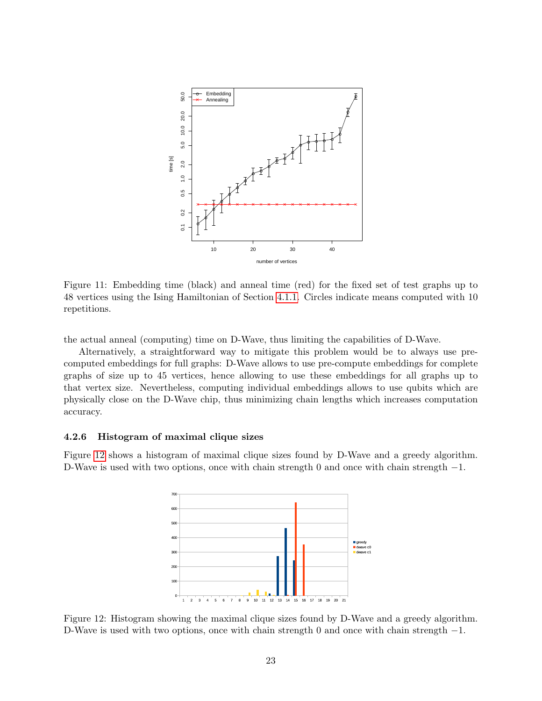<span id="page-22-0"></span>

Figure 11: Embedding time (black) and anneal time (red) for the fixed set of test graphs up to 48 vertices using the Ising Hamiltonian of Section [4.1.1.](#page-13-1) Circles indicate means computed with 10 repetitions.

the actual anneal (computing) time on D-Wave, thus limiting the capabilities of D-Wave.

Alternatively, a straightforward way to mitigate this problem would be to always use precomputed embeddings for full graphs: D-Wave allows to use pre-compute embeddings for complete graphs of size up to 45 vertices, hence allowing to use these embeddings for all graphs up to that vertex size. Nevertheless, computing individual embeddings allows to use qubits which are physically close on the D-Wave chip, thus minimizing chain lengths which increases computation accuracy.

### 4.2.6 Histogram of maximal clique sizes

<span id="page-22-1"></span>Figure [12](#page-22-1) shows a histogram of maximal clique sizes found by D-Wave and a greedy algorithm. D-Wave is used with two options, once with chain strength 0 and once with chain strength  $-1$ .



Figure 12: Histogram showing the maximal clique sizes found by D-Wave and a greedy algorithm. D-Wave is used with two options, once with chain strength 0 and once with chain strength −1.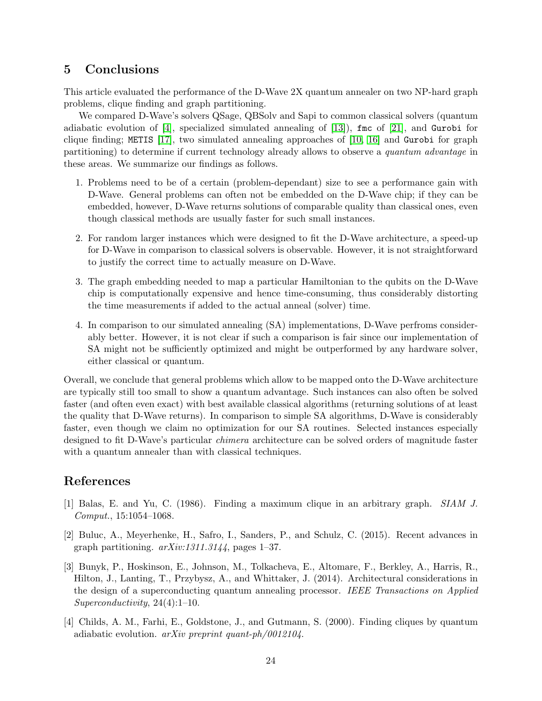# <span id="page-23-4"></span>5 Conclusions

This article evaluated the performance of the D-Wave 2X quantum annealer on two NP-hard graph problems, clique finding and graph partitioning.

We compared D-Wave's solvers QSage, QBSolv and Sapi to common classical solvers (quantum adiabatic evolution of [\[4\]](#page-23-3), specialized simulated annealing of [\[13\]](#page-24-10)), fmc of [\[21\]](#page-24-11), and Gurobi for clique finding; METIS [\[17\]](#page-24-8), two simulated annealing approaches of [\[10,](#page-24-3) [16\]](#page-24-13) and Gurobi for graph partitioning) to determine if current technology already allows to observe a quantum advantage in these areas. We summarize our findings as follows.

- 1. Problems need to be of a certain (problem-dependant) size to see a performance gain with D-Wave. General problems can often not be embedded on the D-Wave chip; if they can be embedded, however, D-Wave returns solutions of comparable quality than classical ones, even though classical methods are usually faster for such small instances.
- 2. For random larger instances which were designed to fit the D-Wave architecture, a speed-up for D-Wave in comparison to classical solvers is observable. However, it is not straightforward to justify the correct time to actually measure on D-Wave.
- 3. The graph embedding needed to map a particular Hamiltonian to the qubits on the D-Wave chip is computationally expensive and hence time-consuming, thus considerably distorting the time measurements if added to the actual anneal (solver) time.
- 4. In comparison to our simulated annealing (SA) implementations, D-Wave perfroms considerably better. However, it is not clear if such a comparison is fair since our implementation of SA might not be sufficiently optimized and might be outperformed by any hardware solver, either classical or quantum.

Overall, we conclude that general problems which allow to be mapped onto the D-Wave architecture are typically still too small to show a quantum advantage. Such instances can also often be solved faster (and often even exact) with best available classical algorithms (returning solutions of at least the quality that D-Wave returns). In comparison to simple SA algorithms, D-Wave is considerably faster, even though we claim no optimization for our SA routines. Selected instances especially designed to fit D-Wave's particular chimera architecture can be solved orders of magnitude faster with a quantum annealer than with classical techniques.

# References

- <span id="page-23-0"></span>[1] Balas, E. and Yu, C. (1986). Finding a maximum clique in an arbitrary graph. SIAM J. Comput., 15:1054–1068.
- <span id="page-23-1"></span>[2] Buluc, A., Meyerhenke, H., Safro, I., Sanders, P., and Schulz, C. (2015). Recent advances in graph partitioning.  $arXiv:1311.3144$ , pages 1–37.
- <span id="page-23-2"></span>[3] Bunyk, P., Hoskinson, E., Johnson, M., Tolkacheva, E., Altomare, F., Berkley, A., Harris, R., Hilton, J., Lanting, T., Przybysz, A., and Whittaker, J. (2014). Architectural considerations in the design of a superconducting quantum annealing processor. IEEE Transactions on Applied Superconductivity, 24(4):1–10.
- <span id="page-23-3"></span>[4] Childs, A. M., Farhi, E., Goldstone, J., and Gutmann, S. (2000). Finding cliques by quantum adiabatic evolution.  $arXiv$  preprint quant-ph/0012104.